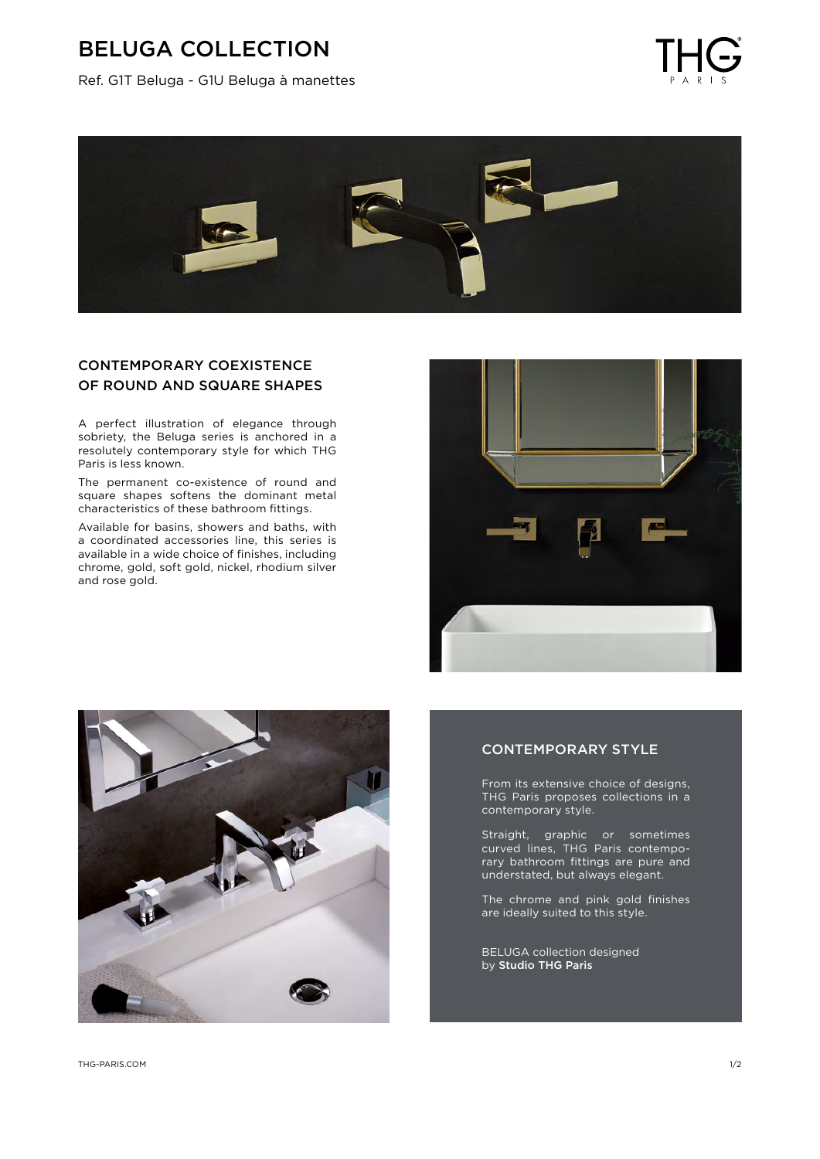## BELUGA COLLECTION

Ref. G1T Beluga - G1U Beluga à manettes





### CONTEMPORARY COEXISTENCE OF ROUND AND SQUARE SHAPES

A perfect illustration of elegance through sobriety, the Beluga series is anchored in a resolutely contemporary style for which THG Paris is less known.

The permanent co-existence of round and square shapes softens the dominant metal characteristics of these bathroom fittings.

Available for basins, showers and baths, with a coordinated accessories line, this series is available in a wide choice of finishes, including chrome, gold, soft gold, nickel, rhodium silver and rose gold.





#### CONTEMPORARY STYLE

From its extensive choice of designs, THG Paris proposes collections in a contemporary style.

Straight, graphic or sometimes curved lines, THG Paris contemporary bathroom fittings are pure and understated, but always elegant.

The chrome and pink gold finishes are ideally suited to this style.

BELUGA collection designed by Studio THG Paris